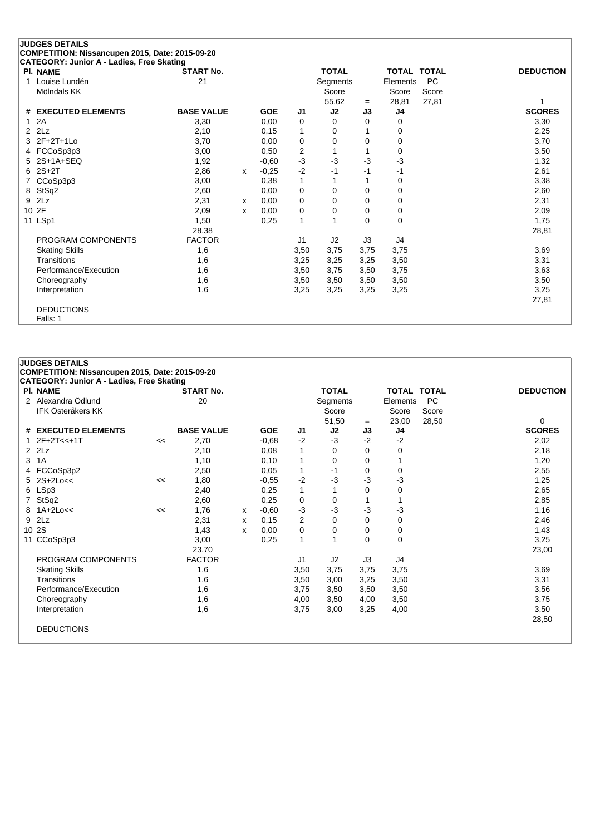| <b>JUDGES DETAILS</b><br>COMPETITION: Nissancupen 2015, Date: 2015-09-20 |                   |              |            |                         |              |          |                |                    |                  |
|--------------------------------------------------------------------------|-------------------|--------------|------------|-------------------------|--------------|----------|----------------|--------------------|------------------|
| CATEGORY: Junior A - Ladies, Free Skating                                |                   |              |            |                         |              |          |                |                    |                  |
| <b>PI. NAME</b>                                                          | <b>START No.</b>  |              |            |                         | <b>TOTAL</b> |          |                | <b>TOTAL TOTAL</b> | <b>DEDUCTION</b> |
| Louise Lundén<br>1                                                       | 21                |              |            |                         | Segments     |          | Elements       | <b>PC</b>          |                  |
| Mölndals KK                                                              |                   |              |            |                         | Score        |          | Score          | Score              |                  |
|                                                                          |                   |              |            |                         | 55,62        | $=$      | 28,81          | 27,81              |                  |
| <b>EXECUTED ELEMENTS</b><br>#                                            | <b>BASE VALUE</b> |              | <b>GOE</b> | J <sub>1</sub>          | J2           | J3       | J4             |                    | <b>SCORES</b>    |
| 2A                                                                       | 3,30              |              | 0,00       | 0                       | $\Omega$     | 0        | 0              |                    | 3,30             |
| 2Lz<br>2                                                                 | 2,10              |              | 0.15       | 1                       | 0            |          | 0              |                    | 2,25             |
| $2F+2T+1L0$                                                              | 3,70              |              | 0,00       | $\mathbf 0$             | 0            | 0        | 0              |                    | 3,70             |
| FCCoSp3p3<br>4                                                           | 3,00              |              | 0,50       | $\overline{\mathbf{c}}$ |              |          | 0              |                    | 3,50             |
| $2S+1A+SEQ$                                                              | 1,92              |              | $-0,60$    | $-3$                    | $-3$         | -3       | $-3$           |                    | 1,32             |
| $2S+2T$<br>6                                                             | 2,86              | $\mathsf{x}$ | $-0,25$    | $-2$                    | -1           | -1       | $-1$           |                    | 2,61             |
| CCoSp3p3                                                                 | 3,00              |              | 0,38       | 1                       | 1            |          | 0              |                    | 3,38             |
| StSq2<br>8                                                               | 2,60              |              | 0.00       | $\mathbf 0$             | 0            | 0        | 0              |                    | 2,60             |
| 2Lz<br>9                                                                 | 2,31              | x            | 0,00       | $\mathbf 0$             | $\Omega$     | $\Omega$ | 0              |                    | 2,31             |
| 2F<br>10                                                                 | 2,09              | X            | 0.00       | 0                       | 0            | 0        | 0              |                    | 2,09             |
| 11 LSp1                                                                  | 1,50              |              | 0,25       | $\mathbf{1}$            |              | $\Omega$ | 0              |                    | 1,75             |
|                                                                          | 28,38             |              |            |                         |              |          |                |                    | 28,81            |
| PROGRAM COMPONENTS                                                       | <b>FACTOR</b>     |              |            | J <sub>1</sub>          | J2           | J3       | J <sub>4</sub> |                    |                  |
| <b>Skating Skills</b>                                                    | 1,6               |              |            | 3,50                    | 3,75         | 3,75     | 3,75           |                    | 3,69             |
| Transitions                                                              | 1,6               |              |            | 3,25                    | 3,25         | 3,25     | 3,50           |                    | 3,31             |
| Performance/Execution                                                    | 1,6               |              |            | 3,50                    | 3,75         | 3,50     | 3,75           |                    | 3,63             |
| Choreography                                                             | 1,6               |              |            | 3,50                    | 3,50         | 3,50     | 3,50           |                    | 3,50             |
| Interpretation                                                           | 1,6               |              |            | 3,25                    | 3,25         | 3,25     | 3,25           |                    | 3,25             |
|                                                                          |                   |              |            |                         |              |          |                |                    | 27,81            |
| <b>DEDUCTIONS</b>                                                        |                   |              |            |                         |              |          |                |                    |                  |
| Falls: 1                                                                 |                   |              |            |                         |              |          |                |                    |                  |

|   | PI. NAME              |    | <b>START No.</b>  |   |            |      | <b>TOTAL</b> |      | TOTAL TOTAL |       | <b>DEDUCTION</b> |
|---|-----------------------|----|-------------------|---|------------|------|--------------|------|-------------|-------|------------------|
|   | 2 Alexandra Ödlund    |    | 20                |   |            |      | Segments     |      | Elements    | PC    |                  |
|   | IFK Österåkers KK     |    |                   |   |            |      | Score        |      | Score       | Score |                  |
|   |                       |    |                   |   |            |      | 51,50        | $=$  | 23,00       | 28,50 | 0                |
|   | # EXECUTED ELEMENTS   |    | <b>BASE VALUE</b> |   | <b>GOE</b> | J1   | J2           | J3   | J4          |       | <b>SCORES</b>    |
|   | $12F+2T<<+1T$         | << | 2,70              |   | $-0,68$    | $-2$ | -3           | $-2$ | $-2$        |       | 2,02             |
|   | $2$ $2Lz$             |    | 2,10              |   | 0,08       | 1    | 0            | 0    | 0           |       | 2,18             |
| 3 | 1A                    |    | 1,10              |   | 0,10       | 1    | 0            | 0    |             |       | 1,20             |
|   | 4 FCCoSp3p2           |    | 2,50              |   | 0,05       | 1    | $-1$         | 0    | 0           |       | 2,55             |
|   | $5$ $2S+2Loc<$        | << | 1,80              |   | $-0,55$    | $-2$ | $-3$         | -3   | $-3$        |       | 1,25             |
|   | 6 LSp3                |    | 2,40              |   | 0,25       | 1    | 1            | 0    | 0           |       | 2,65             |
|   | 7 StSq2               |    | 2,60              |   | 0,25       | 0    | 0            |      |             |       | 2,85             |
|   | 8 1A+2Lo<<            | << | 1,76              | x | $-0.60$    | $-3$ | -3           | $-3$ | $-3$        |       | 1,16             |
| 9 | 2Lz                   |    | 2,31              | х | 0,15       | 2    | 0            | 0    | 0           |       | 2,46             |
|   | 10 2S                 |    | 1,43              | X | 0,00       | 0    | 0            | 0    | 0           |       | 1,43             |
|   | 11 CCoSp3p3           |    | 3,00              |   | 0,25       | 1    | 1            | 0    | 0           |       | 3,25             |
|   |                       |    | 23,70             |   |            |      |              |      |             |       | 23,00            |
|   | PROGRAM COMPONENTS    |    | <b>FACTOR</b>     |   |            | J1   | J2           | JЗ   | J4          |       |                  |
|   | <b>Skating Skills</b> |    | 1,6               |   |            | 3,50 | 3,75         | 3,75 | 3,75        |       | 3,69             |
|   | Transitions           |    | 1,6               |   |            | 3,50 | 3,00         | 3,25 | 3,50        |       | 3,31             |
|   | Performance/Execution |    | 1,6               |   |            | 3,75 | 3,50         | 3,50 | 3,50        |       | 3,56             |
|   | Choreography          |    | 1,6               |   |            | 4,00 | 3,50         | 4,00 | 3,50        |       | 3,75             |
|   | Interpretation        |    | 1,6               |   |            | 3,75 | 3,00         | 3,25 | 4,00        |       | 3,50             |
|   |                       |    |                   |   |            |      |              |      |             |       | 28,50            |
|   | <b>DEDUCTIONS</b>     |    |                   |   |            |      |              |      |             |       |                  |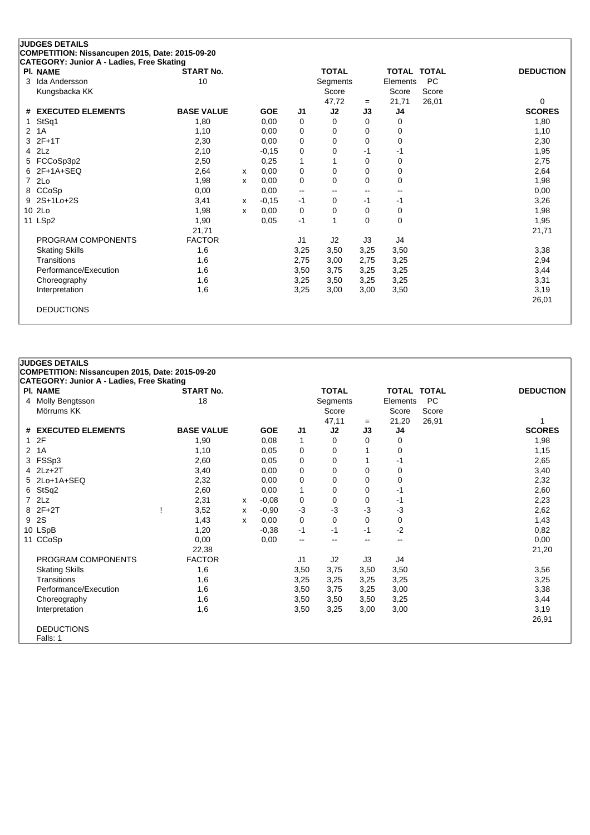| <b>PI. NAME</b>          | CATEGORY: Junior A - Ladies, Free Skating<br><b>START No.</b> |   |            |                          | <b>TOTAL</b>    |                          | <b>TOTAL TOTAL</b> |           | <b>DEDUCTION</b>          |
|--------------------------|---------------------------------------------------------------|---|------------|--------------------------|-----------------|--------------------------|--------------------|-----------|---------------------------|
| Ida Andersson<br>3       | 10                                                            |   |            |                          | <b>Segments</b> |                          | Elements           | <b>PC</b> |                           |
| Kungsbacka KK            |                                                               |   |            |                          | Score           |                          | Score              | Score     |                           |
| <b>EXECUTED ELEMENTS</b> | <b>BASE VALUE</b>                                             |   | <b>GOE</b> | J <sub>1</sub>           | 47,72<br>J2     | $=$<br>J3                | 21,71              | 26,01     | $\Omega$<br><b>SCORES</b> |
| #                        |                                                               |   |            |                          |                 |                          | J4                 |           |                           |
| StSq1                    | 1,80                                                          |   | 0.00       | 0                        | $\Omega$        | 0                        | 0                  |           | 1,80                      |
| 1A<br>$\overline{2}$     | 1,10                                                          |   | 0,00       | 0                        | 0               | 0                        | 0                  |           | 1,10                      |
| $2F+1T$<br>3             | 2,30                                                          |   | 0,00       | 0                        | $\Omega$        | 0                        | 0                  |           | 2,30                      |
| 2Lz<br>4                 | 2,10                                                          |   | $-0,15$    | 0                        | 0               | -1                       | -1                 |           | 1,95                      |
| FCCoSp3p2<br>5           | 2,50                                                          |   | 0,25       | $\mathbf 1$              |                 | 0                        | 0                  |           | 2,75                      |
| $2F+1A+SEQ$<br>6         | 2,64                                                          | x | 0,00       | 0                        | 0               | 0                        | 0                  |           | 2,64                      |
| 2Lo<br>7                 | 1,98                                                          | x | 0,00       | 0                        | 0               | 0                        | 0                  |           | 1,98                      |
| CCoSp<br>8               | 0,00                                                          |   | 0,00       | $\overline{\phantom{a}}$ | --              | $\overline{\phantom{a}}$ | --                 |           | 0,00                      |
| 2S+1Lo+2S<br>9           | 3,41                                                          | x | $-0,15$    | $-1$                     | 0               | -1                       | -1                 |           | 3,26                      |
| 10 2Lo                   | 1,98                                                          | x | 0,00       | 0                        | $\Omega$        | $\Omega$                 | 0                  |           | 1,98                      |
| 11 LSp2                  | 1,90                                                          |   | 0.05       | $-1$                     |                 | 0                        | 0                  |           | 1,95                      |
|                          | 21,71                                                         |   |            |                          |                 |                          |                    |           | 21,71                     |
| PROGRAM COMPONENTS       | <b>FACTOR</b>                                                 |   |            | J <sub>1</sub>           | J2              | J3                       | J4                 |           |                           |
| <b>Skating Skills</b>    | 1,6                                                           |   |            | 3,25                     | 3,50            | 3,25                     | 3,50               |           | 3,38                      |
| Transitions              | 1,6                                                           |   |            | 2,75                     | 3,00            | 2,75                     | 3,25               |           | 2,94                      |
| Performance/Execution    | 1,6                                                           |   |            | 3,50                     | 3,75            | 3,25                     | 3,25               |           | 3,44                      |
| Choreography             | 1,6                                                           |   |            | 3,25                     | 3,50            | 3,25                     | 3,25               |           | 3,31                      |
| Interpretation           | 1,6                                                           |   |            | 3,25                     | 3,00            | 3,00                     | 3,50               |           | 3,19                      |
|                          |                                                               |   |            |                          |                 |                          |                    |           | 26,01                     |

**JUDGES DETAILS**

DEDUCTIONS Falls: 1

**COMPETITION: Nissancupen 2015, Date: 2015-09-20**

## **CATEGORY: Junior A - Ladies, Free Skating Pl. NAME START No. TOTAL TOTAL TOTAL DEDUCTION** 4 Molly Bengtsson 18 Segments Elements PC Mörrums KK Score Score Score Score Score Score Score Score Score Score Score Score Score Score Score Score Score Score Score Score Score Score Score Score Score Score Score Score Score Score Score Score Score Score Score S 47,11 <sup>=</sup> 21,20 26,91 1 **# EXECUTED ELEMENTS BASE VALUE GOE J1 J2 J3 J4 SCORES** 1 2F 1,90 0,08 1 0 0 0 1,98 2 1A 1,10 0,05 0 0 1 0 1,15 3 FSSp3 2,60 0,05 0 0 1 -1 2,65 4 2Lz+2T 3,40 0,00 0 0 0 0 3,40 5 2Lo+1A+SEQ 2,32 0,00 0 0 0 0 2,32 6 StSq2 2,60 0,00 1 0 0 -1 2,60 7 2Lz 2,31 <sup>x</sup> -0,08 0 0 0 -1 2,23 8 2F+2T ! 3,52 <sup>x</sup> -0,90 -3 -3 -3 -3 2,62 9 2S 1,43 <sup>x</sup> 0,00 0 0 0 0 1,43 10 LSpB 1,20 -0,38 -1 -1 -1 -2 0,82 11 CCoSp 0,00 0,00 -- -- -- -- 0,00 22,38 21,20 PROGRAM COMPONENTS FACTOR J1 J2 J3 J4 Skating Skills 1,6 3,50 3,75 3,50 3,50 3,56

Transitions 1,6 3,25 3,25 3,25 3,25 3,25 Performance/Execution 1,6 3,50 3,75 3,25 3,00 3,38 Choreography 1,6 3,50 3,50 3,50 3,25 3,44 Interpretation 1,6 3,50 3,25 3,00 3,00 3,19

26,91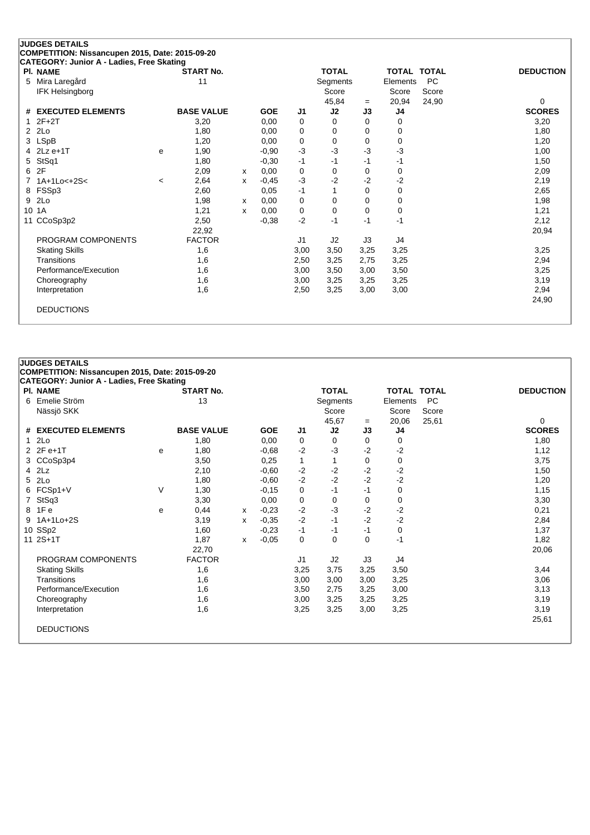| <b>START No.</b><br>11<br><b>BASE VALUE</b><br>3,20<br>1,80 | <b>GOE</b><br>0,00 | J1   | <b>TOTAL</b><br>Segments<br>Score<br>45,84 |      | <b>TOTAL TOTAL</b><br>Elements<br>Score | <b>PC</b><br>Score | <b>DEDUCTION</b> |
|-------------------------------------------------------------|--------------------|------|--------------------------------------------|------|-----------------------------------------|--------------------|------------------|
|                                                             |                    |      |                                            |      |                                         |                    |                  |
|                                                             |                    |      |                                            |      |                                         |                    |                  |
|                                                             |                    |      |                                            |      |                                         |                    |                  |
|                                                             |                    |      |                                            | $=$  | 20,94                                   | 24,90              | 0                |
|                                                             |                    |      | J2                                         | J3   | J4                                      |                    | <b>SCORES</b>    |
|                                                             |                    | 0    | 0                                          | 0    | 0                                       |                    | 3,20             |
|                                                             | 0,00               | 0    | 0                                          | 0    | 0                                       |                    | 1,80             |
| 1,20                                                        | 0,00               | 0    | 0                                          | 0    | 0                                       |                    | 1,20             |
| 1,90                                                        | $-0,90$            | $-3$ | -3                                         | -3   | $-3$                                    |                    | 1,00             |
| 1,80                                                        | $-0,30$            | $-1$ | $-1$                                       | $-1$ | $-1$                                    |                    | 1,50             |
| 2,09<br>х                                                   | 0,00               | 0    | $\Omega$                                   | 0    | 0                                       |                    | 2,09             |
| 2,64<br>X                                                   | $-0,45$            | $-3$ | -2                                         | $-2$ | $-2$                                    |                    | 2,19             |
| 2,60                                                        | 0,05               | $-1$ |                                            | 0    | 0                                       |                    | 2,65             |
| 1,98                                                        | 0,00               | 0    | 0                                          | 0    | 0                                       |                    | 1,98             |
| 1,21                                                        | 0,00               | 0    | 0                                          | 0    | 0                                       |                    | 1,21             |
| 2,50                                                        | $-0,38$            | $-2$ | $-1$                                       | $-1$ | $-1$                                    |                    | 2,12             |
| 22,92                                                       |                    |      |                                            |      |                                         |                    | 20,94            |
| <b>FACTOR</b>                                               |                    | J1   | J <sub>2</sub>                             | J3   | J4                                      |                    |                  |
| 1,6                                                         |                    | 3,00 | 3,50                                       | 3,25 | 3,25                                    |                    | 3,25             |
| 1,6                                                         |                    | 2,50 | 3,25                                       | 2,75 | 3,25                                    |                    | 2,94             |
| 1,6                                                         |                    | 3,00 | 3,50                                       | 3,00 | 3,50                                    |                    | 3,25             |
| 1,6                                                         |                    | 3,00 | 3,25                                       | 3,25 | 3,25                                    |                    | 3,19             |
| 1,6                                                         |                    | 2,50 | 3,25                                       | 3,00 | 3,00                                    |                    | 2,94             |
|                                                             |                    |      |                                            |      |                                         |                    |                  |
|                                                             |                    |      |                                            |      |                                         |                    | 24,90            |
|                                                             | x<br>X             |      |                                            |      |                                         |                    |                  |

**COMPETITION: Nissancupen 2015, Date: 2015-09-20**

|   | PI. NAME              |   | <b>START No.</b>  |   |            |                | <b>TOTAL</b> |      | TOTAL TOTAL    |       | <b>DEDUCTION</b> |
|---|-----------------------|---|-------------------|---|------------|----------------|--------------|------|----------------|-------|------------------|
|   | 6 Emelie Ström        |   | 13                |   |            |                | Segments     |      | Elements       | PC    |                  |
|   | Nässjö SKK            |   |                   |   |            |                | Score        |      | Score          | Score |                  |
|   |                       |   |                   |   |            |                | 45,67        | $=$  | 20,06          | 25,61 | 0                |
|   | # EXECUTED ELEMENTS   |   | <b>BASE VALUE</b> |   | <b>GOE</b> | J <sub>1</sub> | J2           | J3   | J <sub>4</sub> |       | <b>SCORES</b>    |
|   | 12Lo                  |   | 1,80              |   | 0,00       | 0              | 0            | 0    | 0              |       | 1,80             |
|   | 2 2F e+1T             | е | 1,80              |   | $-0.68$    | $-2$           | $-3$         | $-2$ | $-2$           |       | 1,12             |
|   | 3 CCoSp3p4            |   | 3,50              |   | 0,25       | 1              |              | 0    | 0              |       | 3,75             |
|   | 4 2Lz                 |   | 2,10              |   | $-0,60$    | $-2$           | $-2$         | $-2$ | $-2$           |       | 1,50             |
|   | 5 2Lo                 |   | 1,80              |   | $-0,60$    | $-2$           | $-2$         | $-2$ | $-2$           |       | 1,20             |
|   | 6 FCSp1+V             | V | 1,30              |   | $-0,15$    | 0              | -1           | -1   | 0              |       | 1,15             |
|   | 7 StSq3               |   | 3,30              |   | 0,00       | 0              | 0            | 0    | 0              |       | 3,30             |
|   | 8 1 F e               | e | 0,44              | x | $-0,23$    | $-2$           | $-3$         | $-2$ | $-2$           |       | 0,21             |
| 9 | 1A+1Lo+2S             |   | 3,19              | x | $-0.35$    | $-2$           | $-1$         | $-2$ | $-2$           |       | 2,84             |
|   | 10 SSp2               |   | 1,60              |   | $-0,23$    | $-1$           | -1           | -1   | 0              |       | 1,37             |
|   | 11 2S+1T              |   | 1,87              | x | $-0,05$    | 0              | 0            | 0    | $-1$           |       | 1,82             |
|   |                       |   | 22,70             |   |            |                |              |      |                |       | 20,06            |
|   | PROGRAM COMPONENTS    |   | <b>FACTOR</b>     |   |            | J1             | J2           | J3   | J4             |       |                  |
|   | <b>Skating Skills</b> |   | 1,6               |   |            | 3,25           | 3,75         | 3,25 | 3,50           |       | 3,44             |
|   | Transitions           |   | 1,6               |   |            | 3,00           | 3,00         | 3,00 | 3,25           |       | 3,06             |
|   | Performance/Execution |   | 1,6               |   |            | 3,50           | 2,75         | 3,25 | 3,00           |       | 3,13             |
|   | Choreography          |   | 1,6               |   |            | 3,00           | 3,25         | 3,25 | 3,25           |       | 3,19             |
|   | Interpretation        |   | 1,6               |   |            | 3,25           | 3,25         | 3,00 | 3,25           |       | 3,19             |
|   |                       |   |                   |   |            |                |              |      |                |       | 25,61            |
|   | <b>DEDUCTIONS</b>     |   |                   |   |            |                |              |      |                |       |                  |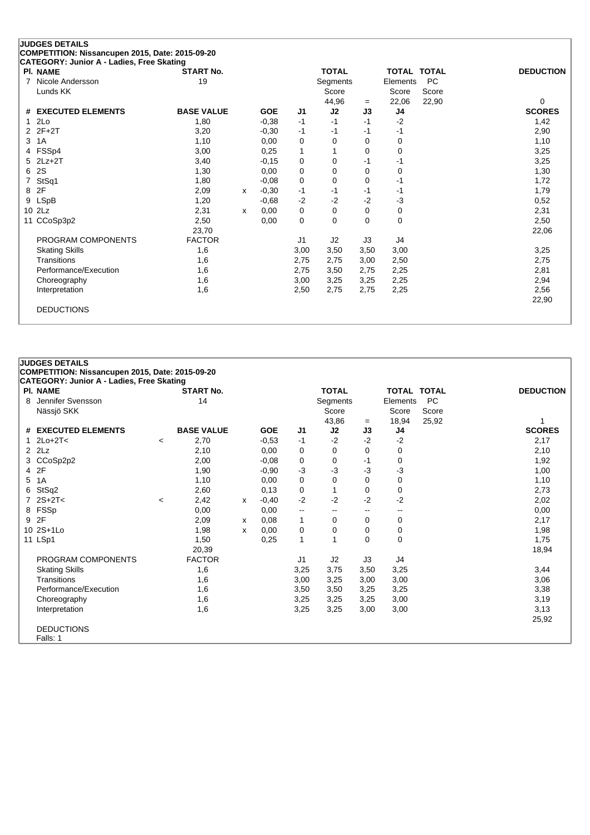| <b>PI. NAME</b>               | CATEGORY: Junior A - Ladies, Free Skating<br><b>START No.</b> |   |            |                | <b>TOTAL</b> |             | <b>TOTAL TOTAL</b> |           | <b>DEDUCTION</b> |
|-------------------------------|---------------------------------------------------------------|---|------------|----------------|--------------|-------------|--------------------|-----------|------------------|
| 7<br>Nicole Andersson         | 19                                                            |   |            |                | Segments     |             | Elements           | <b>PC</b> |                  |
| Lunds KK                      |                                                               |   |            |                | Score        |             | Score              | Score     |                  |
|                               |                                                               |   |            |                | 44,96        | $=$         | 22,06              | 22,90     | 0                |
| <b>EXECUTED ELEMENTS</b><br># | <b>BASE VALUE</b>                                             |   | <b>GOE</b> | J <sub>1</sub> | J2           | J3          | J4                 |           | <b>SCORES</b>    |
| 2Lo<br>1                      | 1,80                                                          |   | $-0,38$    | $-1$           | $-1$         | $-1$        | $-2$               |           | 1,42             |
| $2F+2T$<br>2                  | 3,20                                                          |   | $-0,30$    | $-1$           | $-1$         | $-1$        | $-1$               |           | 2,90             |
| 3<br>1A                       | 1,10                                                          |   | 0,00       | 0              | $\Omega$     | 0           | 0                  |           | 1,10             |
| FSSp4<br>4                    | 3,00                                                          |   | 0,25       | 1              |              | 0           | 0                  |           | 3,25             |
| $2Lz+2T$<br>5                 | 3,40                                                          |   | $-0,15$    | $\mathbf 0$    | $\Omega$     | $-1$        | -1                 |           | 3,25             |
| 2S<br>6                       | 1,30                                                          |   | 0,00       | $\mathbf 0$    | 0            | 0           | 0                  |           | 1,30             |
| StSq1<br>7                    | 1,80                                                          |   | $-0,08$    | $\mathbf 0$    | $\Omega$     | 0           | $-1$               |           | 1,72             |
| 2F<br>8                       | 2,09                                                          | x | $-0.30$    | $-1$           | $-1$         | $-1$        | $-1$               |           | 1,79             |
| <b>LSpB</b><br>9              | 1,20                                                          |   | $-0,68$    | $-2$           | $-2$         | $-2$        | $-3$               |           | 0,52             |
| 2Lz<br>10                     | 2,31                                                          | x | 0.00       | $\mathbf 0$    | $\Omega$     | $\mathbf 0$ | 0                  |           | 2,31             |
| CCoSp3p2<br>11                | 2,50                                                          |   | 0,00       | $\mathbf 0$    | $\Omega$     | 0           | 0                  |           | 2,50             |
|                               | 23,70                                                         |   |            |                |              |             |                    |           | 22,06            |
| PROGRAM COMPONENTS            | <b>FACTOR</b>                                                 |   |            | J <sub>1</sub> | J2           | J3          | J4                 |           |                  |
| <b>Skating Skills</b>         | 1,6                                                           |   |            | 3,00           | 3,50         | 3,50        | 3,00               |           | 3,25             |
| Transitions                   | 1,6                                                           |   |            | 2,75           | 2,75         | 3,00        | 2,50               |           | 2,75             |
| Performance/Execution         | 1,6                                                           |   |            | 2,75           | 3,50         | 2,75        | 2,25               |           | 2,81             |
| Choreography                  | 1,6                                                           |   |            | 3,00           | 3,25         | 3,25        | 2,25               |           | 2,94             |
| Interpretation                | 1,6                                                           |   |            | 2,50           | 2,75         | 2,75        | 2,25               |           | 2,56             |
|                               |                                                               |   |            |                |              |             |                    |           | 22,90            |

**COMPETITION: Nissancupen 2015, Date: 2015-09-20**

|   | CATEGORY: Junior A - Ladies, Free Skating |         |                        |   |            |                |                          |           |                         |       |                  |
|---|-------------------------------------------|---------|------------------------|---|------------|----------------|--------------------------|-----------|-------------------------|-------|------------------|
| 8 | PI. NAME<br>Jennifer Svensson             |         | <b>START No.</b><br>14 |   |            |                | <b>TOTAL</b><br>Segments |           | TOTAL TOTAL<br>Elements | PC    | <b>DEDUCTION</b> |
|   | Nässjö SKK                                |         |                        |   |            |                | Score                    |           | Score                   | Score |                  |
|   | # EXECUTED ELEMENTS                       |         | <b>BASE VALUE</b>      |   | <b>GOE</b> | J <sub>1</sub> | 43,86<br>J2              | $=$<br>J3 | 18,94<br>J4             | 25,92 | <b>SCORES</b>    |
|   | 1 $2Lo+2T<$                               |         | 2,70                   |   | $-0,53$    | $-1$           | $-2$                     | $-2$      | $-2$                    |       | 2,17             |
|   | $2$ $2Lz$                                 | $\,<\,$ | 2,10                   |   | 0,00       | 0              | 0                        | $\Omega$  | 0                       |       | 2,10             |
|   | 3 CCoSp2p2                                |         | 2,00                   |   | $-0,08$    | 0              | 0                        | -1        | 0                       |       | 1,92             |
|   | 4 2F                                      |         |                        |   | $-0.90$    | $-3$           | $-3$                     | $-3$      | -3                      |       | 1,00             |
| 5 |                                           |         | 1,90                   |   |            |                |                          |           |                         |       |                  |
|   | 1A                                        |         | 1,10                   |   | 0,00       | 0              | 0                        | 0         | 0                       |       | 1,10             |
|   | 6 StSq2                                   |         | 2,60                   |   | 0,13       | 0              |                          | 0         | 0                       |       | 2,73             |
|   | $7$ 2S+2T<                                | $\,<\,$ | 2,42                   | х | $-0,40$    | $-2$           | $-2$                     | $-2$      | $-2$                    |       | 2,02             |
|   | 8 FSSp                                    |         | 0,00                   |   | 0,00       | --             | $-$                      | $- -$     | $- -$                   |       | 0,00             |
|   | 9 2F                                      |         | 2,09                   | х | 0,08       | 1              | 0                        | 0         | 0                       |       | 2,17             |
|   | 10 2S+1Lo                                 |         | 1,98                   | x | 0,00       | 0              | 0                        | 0         | 0                       |       | 1,98             |
|   | 11 LSp1                                   |         | 1,50                   |   | 0,25       | $\mathbf{1}$   | 1                        | $\Omega$  | 0                       |       | 1,75             |
|   |                                           |         | 20,39                  |   |            |                |                          |           |                         |       | 18,94            |
|   | PROGRAM COMPONENTS                        |         | <b>FACTOR</b>          |   |            | J1             | J2                       | J3        | J4                      |       |                  |
|   | <b>Skating Skills</b>                     |         | 1,6                    |   |            | 3,25           | 3,75                     | 3,50      | 3,25                    |       | 3,44             |
|   | Transitions                               |         | 1,6                    |   |            | 3,00           | 3,25                     | 3,00      | 3,00                    |       | 3,06             |
|   | Performance/Execution                     |         | 1,6                    |   |            | 3,50           | 3,50                     | 3,25      | 3,25                    |       | 3,38             |
|   | Choreography                              |         | 1,6                    |   |            | 3,25           | 3,25                     | 3,25      | 3,00                    |       | 3,19             |
|   | Interpretation                            |         | 1,6                    |   |            | 3,25           | 3,25                     | 3,00      | 3,00                    |       | 3,13             |
|   |                                           |         |                        |   |            |                |                          |           |                         |       | 25,92            |
|   | <b>DEDUCTIONS</b>                         |         |                        |   |            |                |                          |           |                         |       |                  |
|   | Falls: 1                                  |         |                        |   |            |                |                          |           |                         |       |                  |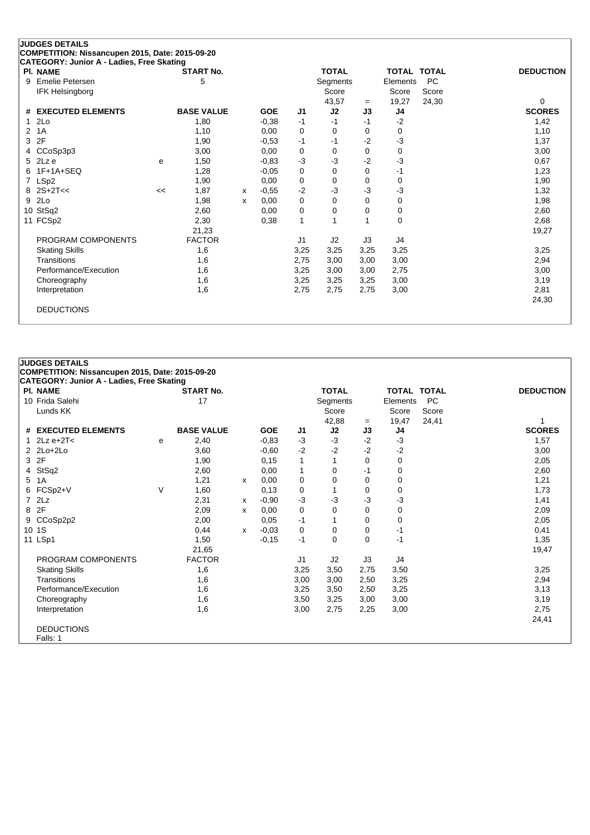| <b>JUDGES DETAILS</b>                                        |    |                   |   |            |             |              |          |                    |           |                  |
|--------------------------------------------------------------|----|-------------------|---|------------|-------------|--------------|----------|--------------------|-----------|------------------|
| COMPETITION: Nissancupen 2015, Date: 2015-09-20              |    |                   |   |            |             |              |          |                    |           |                  |
| CATEGORY: Junior A - Ladies, Free Skating<br><b>PI. NAME</b> |    | <b>START No.</b>  |   |            |             | <b>TOTAL</b> |          | <b>TOTAL TOTAL</b> |           | <b>DEDUCTION</b> |
| Emelie Petersen<br>9                                         |    | 5                 |   |            |             | Segments     |          | Elements           | <b>PC</b> |                  |
| <b>IFK Helsingborg</b>                                       |    |                   |   |            |             | Score        |          | Score              | Score     |                  |
|                                                              |    |                   |   |            |             | 43,57        | $=$      | 19,27              | 24,30     | 0                |
| <b>EXECUTED ELEMENTS</b><br>#                                |    | <b>BASE VALUE</b> |   | <b>GOE</b> | J1          | J2           | J3       | J4                 |           | <b>SCORES</b>    |
| 2Lo                                                          |    | 1,80              |   | $-0,38$    | $-1$        | $-1$         | $-1$     | $-2$               |           | 1,42             |
| 1A<br>2                                                      |    | 1,10              |   | 0.00       | 0           | $\Omega$     | 0        | 0                  |           | 1,10             |
| 2F<br>3                                                      |    | 1,90              |   | $-0.53$    | $-1$        | -1           | $-2$     | $-3$               |           | 1,37             |
| CCoSp3p3<br>4                                                |    | 3,00              |   | 0.00       | 0           | $\Omega$     | 0        | 0                  |           | 3,00             |
| 2Lz e<br>5                                                   | e  | 1,50              |   | $-0.83$    | $-3$        | $-3$         | $-2$     | $-3$               |           | 0,67             |
| $1F+1A+SEQ$<br>6                                             |    | 1,28              |   | $-0,05$    | 0           | $\Omega$     | $\Omega$ | $-1$               |           | 1,23             |
| LSp2<br>7                                                    |    | 1,90              |   | 0.00       | $\mathbf 0$ | $\Omega$     | 0        | 0                  |           | 1,90             |
| $2S+2T<<$<br>8                                               | << | 1,87              | X | $-0,55$    | $-2$        | -3           | -3       | $-3$               |           | 1,32             |
| 2Lo<br>9                                                     |    | 1,98              | X | 0.00       | 0           | $\Omega$     | 0        | 0                  |           | 1,98             |
| 10 StSq2                                                     |    | 2,60              |   | 0,00       | 0           | 0            | $\Omega$ | 0                  |           | 2,60             |
| 11 FCSp2                                                     |    | 2,30              |   | 0,38       | 1           |              |          | 0                  |           | 2,68             |
|                                                              |    | 21,23             |   |            |             |              |          |                    |           | 19,27            |
| PROGRAM COMPONENTS                                           |    | <b>FACTOR</b>     |   |            | J1          | J2           | J3       | J4                 |           |                  |
| <b>Skating Skills</b>                                        |    | 1,6               |   |            | 3,25        | 3,25         | 3,25     | 3,25               |           | 3,25             |
| Transitions                                                  |    | 1,6               |   |            | 2,75        | 3,00         | 3,00     | 3,00               |           | 2,94             |
| Performance/Execution                                        |    | 1,6               |   |            | 3,25        | 3,00         | 3,00     | 2,75               |           | 3,00             |
| Choreography                                                 |    | 1,6               |   |            | 3,25        | 3,25         | 3,25     | 3,00               |           | 3,19             |
| Interpretation                                               |    | 1,6               |   |            | 2,75        | 2,75         | 2,75     | 3,00               |           | 2,81             |
|                                                              |    |                   |   |            |             |              |          |                    |           | 24,30            |
| <b>DEDUCTIONS</b>                                            |    |                   |   |            |             |              |          |                    |           |                  |
|                                                              |    |                   |   |            |             |              |          |                    |           |                  |

|      | <b>PI. NAME</b>       |   | <b>START No.</b>  |   |            |                | <b>TOTAL</b> |          | TOTAL TOTAL |       | <b>DEDUCTION</b> |
|------|-----------------------|---|-------------------|---|------------|----------------|--------------|----------|-------------|-------|------------------|
|      | 10 Frida Salehi       |   | 17                |   |            |                | Segments     |          | Elements    | PC    |                  |
|      | Lunds KK              |   |                   |   |            |                | Score        |          | Score       | Score |                  |
|      |                       |   |                   |   |            |                | 42,88        | $=$      | 19,47       | 24,41 |                  |
|      | # EXECUTED ELEMENTS   |   | <b>BASE VALUE</b> |   | <b>GOE</b> | J <sub>1</sub> | J2           | J3       | J4          |       | <b>SCORES</b>    |
|      | 1 $2Lz e+2T<$         | e | 2,40              |   | $-0.83$    | $-3$           | $-3$         | $-2$     | $-3$        |       | 1,57             |
|      | $2$ $2$ $Lo+2$ $Lo+2$ |   | 3,60              |   | $-0,60$    | $-2$           | $-2$         | $-2$     | $-2$        |       | 3,00             |
|      | 3 2F                  |   | 1,90              |   | 0,15       | 1              |              | $\Omega$ | 0           |       | 2,05             |
|      | 4 StSq2               |   | 2,60              |   | 0,00       | 1              | $\Omega$     | -1       | 0           |       | 2,60             |
|      | 5 1A                  |   | 1,21              | X | 0,00       | 0              | 0            | 0        | 0           |       | 1,21             |
|      | 6 FCSp2+V             | V | 1,60              |   | 0,13       | 0              |              | 0        | 0           |       | 1,73             |
|      | $7$ $2Lz$             |   | 2,31              | х | $-0,90$    | $-3$           | $-3$         | $-3$     | -3          |       | 1,41             |
| 8 2F |                       |   | 2,09              | x | 0.00       | 0              | 0            | 0        | 0           |       | 2,09             |
|      | 9 CCoSp2p2            |   | 2,00              |   | 0,05       | $-1$           |              | $\Omega$ | 0           |       | 2,05             |
|      | 10 1S                 |   | 0,44              | X | $-0,03$    | 0              | $\Omega$     | $\Omega$ | -1          |       | 0,41             |
|      | 11 LSp1               |   | 1,50              |   | $-0,15$    | $-1$           | 0            | 0        | -1          |       | 1,35             |
|      |                       |   | 21,65             |   |            |                |              |          |             |       | 19,47            |
|      | PROGRAM COMPONENTS    |   | <b>FACTOR</b>     |   |            | J1             | J2           | J3       | J4          |       |                  |
|      | <b>Skating Skills</b> |   | 1,6               |   |            | 3,25           | 3,50         | 2,75     | 3,50        |       | 3,25             |
|      | Transitions           |   | 1,6               |   |            | 3,00           | 3,00         | 2,50     | 3,25        |       | 2,94             |
|      | Performance/Execution |   | 1,6               |   |            | 3,25           | 3,50         | 2,50     | 3,25        |       | 3,13             |
|      | Choreography          |   | 1,6               |   |            | 3,50           | 3,25         | 3,00     | 3,00        |       | 3,19             |
|      | Interpretation        |   | 1,6               |   |            | 3,00           | 2,75         | 2,25     | 3,00        |       | 2,75             |
|      |                       |   |                   |   |            |                |              |          |             |       | 24,41            |
|      | <b>DEDUCTIONS</b>     |   |                   |   |            |                |              |          |             |       |                  |
|      | Falls: 1              |   |                   |   |            |                |              |          |             |       |                  |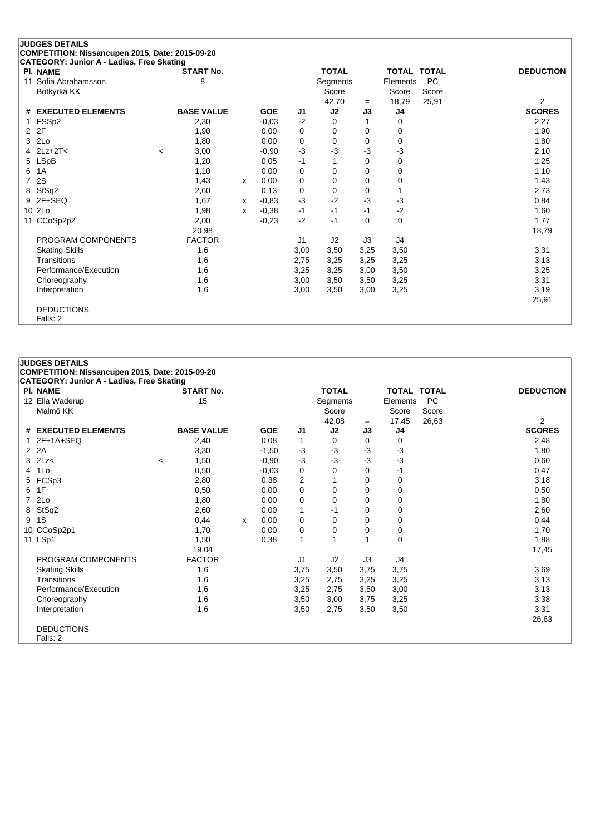| COMPETITION: Nissancupen 2015, Date: 2015-09-20<br>CATEGORY: Junior A - Ladies, Free Skating<br><b>START No.</b><br><b>TOTAL</b><br><b>PI. NAME</b><br><b>TOTAL TOTAL</b><br><b>DEDUCTION</b><br><b>PC</b><br>Sofia Abrahamsson<br>8<br>Segments<br>Elements<br>11<br>Score<br>Score<br>Botkyrka KK<br>Score<br>25,91<br>18,79<br>$\overline{2}$<br>42,70<br>$=$<br>J2<br>J <sub>4</sub><br><b>SCORES</b><br><b>EXECUTED ELEMENTS</b><br><b>BASE VALUE</b><br><b>GOE</b><br>J3<br>J1<br>#<br>$-2$<br>FSSp2<br>2,30<br>$-0,03$<br>2,27<br>$\Omega$<br>0<br>1<br>2F<br>1,90<br>2<br>1,90<br>0.00<br>0<br>0<br>0<br>0<br>2Lo<br>0<br>3<br>1,80<br>0,00<br>$\Omega$<br>0<br>0<br>1,80<br>$-3$<br>-3<br>$2Lz + 2T <$<br>-3<br>$-3$<br>3,00<br>$-0.90$<br>2,10<br>4<br>$\prec$<br><b>LSpB</b><br>1,20<br>$-1$<br>5<br>0,05<br>0<br>1,25<br>0<br>1A<br>1,10<br>0,00<br>0<br>1,10<br>6<br>0<br>0<br>0<br>2S<br>$\mathbf 0$<br>1,43<br>7<br>1,43<br>0,00<br>$\Omega$<br>0<br>0<br>x<br>StSq2<br>2,60<br>0.13<br>2,73<br>0<br>8<br>0<br>0<br>$-2$<br>$-3$<br>$-3$<br>$2F+SEQ$<br>$-3$<br>1.67<br>$-0,83$<br>0,84<br>9<br>$\mathsf{x}$<br>$-2$<br>2Lo<br>1,98<br>$-0.38$<br>$-1$<br>10<br>$-1$<br>$-1$<br>1,60<br>x<br>CCoSp2p2<br>$-2$<br>2,00<br>$-0,23$<br>$-1$<br>$\Omega$<br>0<br>1,77<br>11<br>20,98<br>18,79<br>PROGRAM COMPONENTS<br><b>FACTOR</b><br>J3<br>J4<br>J <sub>1</sub><br>J2<br><b>Skating Skills</b><br>3,50<br>1,6<br>3,00<br>3,50<br>3,25<br>3,31<br>1,6<br>Transitions<br>2,75<br>3,25<br>3,25<br>3,13<br>3,25<br>Performance/Execution<br>3,25<br>1,6<br>3,25<br>3,25<br>3,00<br>3,50<br>3,25<br>3,31<br>1,6<br>3,00<br>3,50<br>3,50<br>Choreography<br>1,6<br>3,25<br>3,19<br>3,00<br>3,50<br>3,00<br>Interpretation<br>25,91<br><b>DEDUCTIONS</b> | <b>JUDGES DETAILS</b> |  |  |  |  |  |
|-----------------------------------------------------------------------------------------------------------------------------------------------------------------------------------------------------------------------------------------------------------------------------------------------------------------------------------------------------------------------------------------------------------------------------------------------------------------------------------------------------------------------------------------------------------------------------------------------------------------------------------------------------------------------------------------------------------------------------------------------------------------------------------------------------------------------------------------------------------------------------------------------------------------------------------------------------------------------------------------------------------------------------------------------------------------------------------------------------------------------------------------------------------------------------------------------------------------------------------------------------------------------------------------------------------------------------------------------------------------------------------------------------------------------------------------------------------------------------------------------------------------------------------------------------------------------------------------------------------------------------------------------------------------------------------------------------------------------------------------------------------------|-----------------------|--|--|--|--|--|
|                                                                                                                                                                                                                                                                                                                                                                                                                                                                                                                                                                                                                                                                                                                                                                                                                                                                                                                                                                                                                                                                                                                                                                                                                                                                                                                                                                                                                                                                                                                                                                                                                                                                                                                                                                 |                       |  |  |  |  |  |
|                                                                                                                                                                                                                                                                                                                                                                                                                                                                                                                                                                                                                                                                                                                                                                                                                                                                                                                                                                                                                                                                                                                                                                                                                                                                                                                                                                                                                                                                                                                                                                                                                                                                                                                                                                 |                       |  |  |  |  |  |
|                                                                                                                                                                                                                                                                                                                                                                                                                                                                                                                                                                                                                                                                                                                                                                                                                                                                                                                                                                                                                                                                                                                                                                                                                                                                                                                                                                                                                                                                                                                                                                                                                                                                                                                                                                 |                       |  |  |  |  |  |
|                                                                                                                                                                                                                                                                                                                                                                                                                                                                                                                                                                                                                                                                                                                                                                                                                                                                                                                                                                                                                                                                                                                                                                                                                                                                                                                                                                                                                                                                                                                                                                                                                                                                                                                                                                 |                       |  |  |  |  |  |
|                                                                                                                                                                                                                                                                                                                                                                                                                                                                                                                                                                                                                                                                                                                                                                                                                                                                                                                                                                                                                                                                                                                                                                                                                                                                                                                                                                                                                                                                                                                                                                                                                                                                                                                                                                 |                       |  |  |  |  |  |
|                                                                                                                                                                                                                                                                                                                                                                                                                                                                                                                                                                                                                                                                                                                                                                                                                                                                                                                                                                                                                                                                                                                                                                                                                                                                                                                                                                                                                                                                                                                                                                                                                                                                                                                                                                 |                       |  |  |  |  |  |
|                                                                                                                                                                                                                                                                                                                                                                                                                                                                                                                                                                                                                                                                                                                                                                                                                                                                                                                                                                                                                                                                                                                                                                                                                                                                                                                                                                                                                                                                                                                                                                                                                                                                                                                                                                 |                       |  |  |  |  |  |
|                                                                                                                                                                                                                                                                                                                                                                                                                                                                                                                                                                                                                                                                                                                                                                                                                                                                                                                                                                                                                                                                                                                                                                                                                                                                                                                                                                                                                                                                                                                                                                                                                                                                                                                                                                 |                       |  |  |  |  |  |
|                                                                                                                                                                                                                                                                                                                                                                                                                                                                                                                                                                                                                                                                                                                                                                                                                                                                                                                                                                                                                                                                                                                                                                                                                                                                                                                                                                                                                                                                                                                                                                                                                                                                                                                                                                 |                       |  |  |  |  |  |
|                                                                                                                                                                                                                                                                                                                                                                                                                                                                                                                                                                                                                                                                                                                                                                                                                                                                                                                                                                                                                                                                                                                                                                                                                                                                                                                                                                                                                                                                                                                                                                                                                                                                                                                                                                 |                       |  |  |  |  |  |
|                                                                                                                                                                                                                                                                                                                                                                                                                                                                                                                                                                                                                                                                                                                                                                                                                                                                                                                                                                                                                                                                                                                                                                                                                                                                                                                                                                                                                                                                                                                                                                                                                                                                                                                                                                 |                       |  |  |  |  |  |
|                                                                                                                                                                                                                                                                                                                                                                                                                                                                                                                                                                                                                                                                                                                                                                                                                                                                                                                                                                                                                                                                                                                                                                                                                                                                                                                                                                                                                                                                                                                                                                                                                                                                                                                                                                 |                       |  |  |  |  |  |
|                                                                                                                                                                                                                                                                                                                                                                                                                                                                                                                                                                                                                                                                                                                                                                                                                                                                                                                                                                                                                                                                                                                                                                                                                                                                                                                                                                                                                                                                                                                                                                                                                                                                                                                                                                 |                       |  |  |  |  |  |
|                                                                                                                                                                                                                                                                                                                                                                                                                                                                                                                                                                                                                                                                                                                                                                                                                                                                                                                                                                                                                                                                                                                                                                                                                                                                                                                                                                                                                                                                                                                                                                                                                                                                                                                                                                 |                       |  |  |  |  |  |
|                                                                                                                                                                                                                                                                                                                                                                                                                                                                                                                                                                                                                                                                                                                                                                                                                                                                                                                                                                                                                                                                                                                                                                                                                                                                                                                                                                                                                                                                                                                                                                                                                                                                                                                                                                 |                       |  |  |  |  |  |
|                                                                                                                                                                                                                                                                                                                                                                                                                                                                                                                                                                                                                                                                                                                                                                                                                                                                                                                                                                                                                                                                                                                                                                                                                                                                                                                                                                                                                                                                                                                                                                                                                                                                                                                                                                 |                       |  |  |  |  |  |
|                                                                                                                                                                                                                                                                                                                                                                                                                                                                                                                                                                                                                                                                                                                                                                                                                                                                                                                                                                                                                                                                                                                                                                                                                                                                                                                                                                                                                                                                                                                                                                                                                                                                                                                                                                 |                       |  |  |  |  |  |
|                                                                                                                                                                                                                                                                                                                                                                                                                                                                                                                                                                                                                                                                                                                                                                                                                                                                                                                                                                                                                                                                                                                                                                                                                                                                                                                                                                                                                                                                                                                                                                                                                                                                                                                                                                 |                       |  |  |  |  |  |
|                                                                                                                                                                                                                                                                                                                                                                                                                                                                                                                                                                                                                                                                                                                                                                                                                                                                                                                                                                                                                                                                                                                                                                                                                                                                                                                                                                                                                                                                                                                                                                                                                                                                                                                                                                 |                       |  |  |  |  |  |
|                                                                                                                                                                                                                                                                                                                                                                                                                                                                                                                                                                                                                                                                                                                                                                                                                                                                                                                                                                                                                                                                                                                                                                                                                                                                                                                                                                                                                                                                                                                                                                                                                                                                                                                                                                 |                       |  |  |  |  |  |
|                                                                                                                                                                                                                                                                                                                                                                                                                                                                                                                                                                                                                                                                                                                                                                                                                                                                                                                                                                                                                                                                                                                                                                                                                                                                                                                                                                                                                                                                                                                                                                                                                                                                                                                                                                 |                       |  |  |  |  |  |
|                                                                                                                                                                                                                                                                                                                                                                                                                                                                                                                                                                                                                                                                                                                                                                                                                                                                                                                                                                                                                                                                                                                                                                                                                                                                                                                                                                                                                                                                                                                                                                                                                                                                                                                                                                 |                       |  |  |  |  |  |
|                                                                                                                                                                                                                                                                                                                                                                                                                                                                                                                                                                                                                                                                                                                                                                                                                                                                                                                                                                                                                                                                                                                                                                                                                                                                                                                                                                                                                                                                                                                                                                                                                                                                                                                                                                 |                       |  |  |  |  |  |
|                                                                                                                                                                                                                                                                                                                                                                                                                                                                                                                                                                                                                                                                                                                                                                                                                                                                                                                                                                                                                                                                                                                                                                                                                                                                                                                                                                                                                                                                                                                                                                                                                                                                                                                                                                 |                       |  |  |  |  |  |
|                                                                                                                                                                                                                                                                                                                                                                                                                                                                                                                                                                                                                                                                                                                                                                                                                                                                                                                                                                                                                                                                                                                                                                                                                                                                                                                                                                                                                                                                                                                                                                                                                                                                                                                                                                 |                       |  |  |  |  |  |
|                                                                                                                                                                                                                                                                                                                                                                                                                                                                                                                                                                                                                                                                                                                                                                                                                                                                                                                                                                                                                                                                                                                                                                                                                                                                                                                                                                                                                                                                                                                                                                                                                                                                                                                                                                 |                       |  |  |  |  |  |
|                                                                                                                                                                                                                                                                                                                                                                                                                                                                                                                                                                                                                                                                                                                                                                                                                                                                                                                                                                                                                                                                                                                                                                                                                                                                                                                                                                                                                                                                                                                                                                                                                                                                                                                                                                 |                       |  |  |  |  |  |
|                                                                                                                                                                                                                                                                                                                                                                                                                                                                                                                                                                                                                                                                                                                                                                                                                                                                                                                                                                                                                                                                                                                                                                                                                                                                                                                                                                                                                                                                                                                                                                                                                                                                                                                                                                 | Falls: 2              |  |  |  |  |  |

|   | PI. NAME              |         | <b>START No.</b>  |   |            |                | <b>TOTAL</b> |      | <b>TOTAL TOTAL</b> |           | <b>DEDUCTION</b> |
|---|-----------------------|---------|-------------------|---|------------|----------------|--------------|------|--------------------|-----------|------------------|
|   | 12 Ella Waderup       |         | 15                |   |            |                | Segments     |      | Elements           | <b>PC</b> |                  |
|   | Malmö KK              |         |                   |   |            |                | Score        |      | Score              | Score     |                  |
|   |                       |         |                   |   |            |                | 42,08        | $=$  | 17,45              | 26,63     | $\overline{2}$   |
|   | # EXECUTED ELEMENTS   |         | <b>BASE VALUE</b> |   | <b>GOE</b> | J1             | J2           | J3   | J4                 |           | <b>SCORES</b>    |
|   | 1 2F+1A+SEQ           |         | 2,40              |   | 0,08       | 1              | 0            | 0    | 0                  |           | 2,48             |
|   | 2 2A                  |         | 3,30              |   | $-1,50$    | $-3$           | $-3$         | $-3$ | $-3$               |           | 1,80             |
|   | $3$ $2Lz$             | $\,<\,$ | 1,50              |   | $-0,90$    | $-3$           | $-3$         | $-3$ | $-3$               |           | 0,60             |
|   | 4 1Lo                 |         | 0,50              |   | $-0.03$    | 0              | 0            | 0    | -1                 |           | 0,47             |
|   | 5 FCSp3               |         | 2,80              |   | 0,38       | 2              |              | 0    | 0                  |           | 3,18             |
| 6 | 1F                    |         | 0,50              |   | 0,00       | 0              | 0            | 0    | 0                  |           | 0,50             |
|   | 7 2Lo                 |         | 1,80              |   | 0,00       | 0              | 0            | 0    | $\Omega$           |           | 1,80             |
|   | 8 StSq2               |         | 2,60              |   | 0,00       | 1              | -1           | 0    | 0                  |           | 2,60             |
| 9 | 1S                    |         | 0,44              | X | 0,00       | 0              | 0            | 0    | 0                  |           | 0,44             |
|   | 10 CCoSp2p1           |         | 1,70              |   | 0,00       | 0              | 0            | 0    | 0                  |           | 1,70             |
|   | 11 LSp1               |         | 1,50              |   | 0,38       | 1              |              |      | $\mathbf 0$        |           | 1,88             |
|   |                       |         | 19,04             |   |            |                |              |      |                    |           | 17,45            |
|   | PROGRAM COMPONENTS    |         | <b>FACTOR</b>     |   |            | J <sub>1</sub> | J2           | J3   | J4                 |           |                  |
|   | <b>Skating Skills</b> |         | 1,6               |   |            | 3,75           | 3,50         | 3,75 | 3,75               |           | 3,69             |
|   | Transitions           |         | 1,6               |   |            | 3,25           | 2,75         | 3,25 | 3,25               |           | 3,13             |
|   | Performance/Execution |         | 1,6               |   |            | 3,25           | 2,75         | 3,50 | 3,00               |           | 3,13             |
|   | Choreography          |         | 1,6               |   |            | 3,50           | 3,00         | 3,75 | 3,25               |           | 3,38             |
|   | Interpretation        |         | 1,6               |   |            | 3,50           | 2,75         | 3,50 | 3,50               |           | 3,31             |
|   |                       |         |                   |   |            |                |              |      |                    |           | 26,63            |
|   | <b>DEDUCTIONS</b>     |         |                   |   |            |                |              |      |                    |           |                  |
|   | Falls: 2              |         |                   |   |            |                |              |      |                    |           |                  |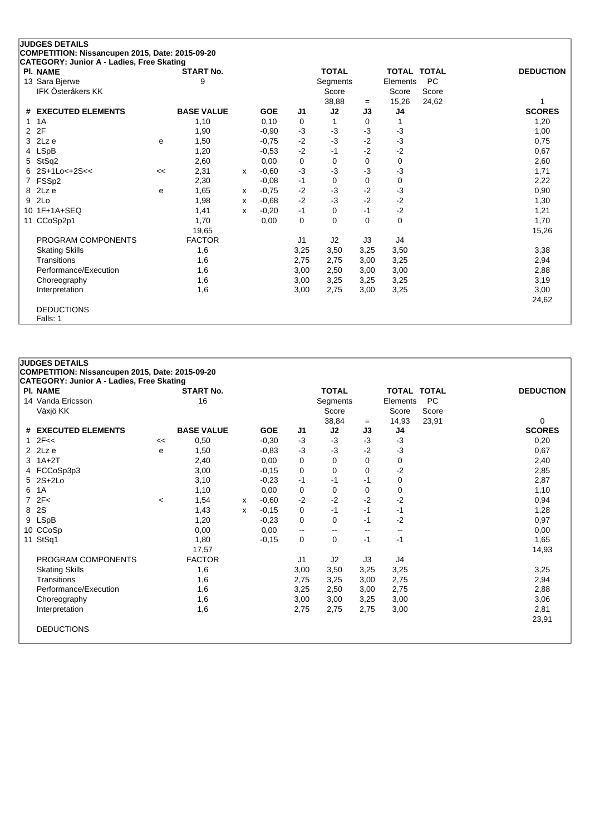|    | <b>JUDGES DETAILS</b>                                                                        |    |                   |              |            |                |              |          |                |                    |                  |
|----|----------------------------------------------------------------------------------------------|----|-------------------|--------------|------------|----------------|--------------|----------|----------------|--------------------|------------------|
|    | COMPETITION: Nissancupen 2015, Date: 2015-09-20<br>CATEGORY: Junior A - Ladies, Free Skating |    |                   |              |            |                |              |          |                |                    |                  |
|    | <b>PI. NAME</b>                                                                              |    | <b>START No.</b>  |              |            |                | <b>TOTAL</b> |          |                | <b>TOTAL TOTAL</b> | <b>DEDUCTION</b> |
|    | 13 Sara Bjerwe                                                                               |    | 9                 |              |            |                | Segments     |          | Elements       | <b>PC</b>          |                  |
|    | IFK Österåkers KK                                                                            |    |                   |              |            |                | Score        |          | Score          | Score              |                  |
|    |                                                                                              |    |                   |              |            |                | 38,88        | $=$      | 15,26          | 24,62              |                  |
| #  | <b>EXECUTED ELEMENTS</b>                                                                     |    | <b>BASE VALUE</b> |              | <b>GOE</b> | J <sub>1</sub> | J2           | J3       | J4             |                    | <b>SCORES</b>    |
| 1  | 1A                                                                                           |    | 1,10              |              | 0,10       | 0              | 1            | 0        | 1              |                    | 1,20             |
| 2  | 2F                                                                                           |    | 1,90              |              | $-0.90$    | $-3$           | $-3$         | -3       | -3             |                    | 1,00             |
| 3  | 2Lz e                                                                                        | e  | 1,50              |              | $-0.75$    | $-2$           | $-3$         | $-2$     | $-3$           |                    | 0,75             |
| 4  | <b>LSpB</b>                                                                                  |    | 1,20              |              | $-0.53$    | $-2$           | $-1$         | $-2$     | $-2$           |                    | 0,67             |
| 5  | StSq2                                                                                        |    | 2,60              |              | 0,00       | 0              | $\Omega$     | 0        | 0              |                    | 2,60             |
| 6  | $2S+1Lo<+2S<$                                                                                | << | 2,31              | $\mathsf{x}$ | $-0.60$    | $-3$           | $-3$         | -3       | $-3$           |                    | 1,71             |
| 7  | FSSp2                                                                                        |    | 2,30              |              | $-0.08$    | $-1$           | $\Omega$     | $\Omega$ | 0              |                    | 2,22             |
| 8  | 2Lz e                                                                                        | e  | 1,65              | x            | $-0.75$    | $-2$           | $-3$         | $-2$     | $-3$           |                    | 0,90             |
| 9  | 2Lo                                                                                          |    | 1,98              | x            | $-0.68$    | $-2$           | $-3$         | $-2$     | $-2$           |                    | 1,30             |
| 10 | $1F+1A+SEQ$                                                                                  |    | 1,41              | X            | $-0,20$    | $-1$           | $\Omega$     | $-1$     | $-2$           |                    | 1,21             |
| 11 | CCoSp2p1                                                                                     |    | 1,70              |              | 0,00       | $\mathbf 0$    | $\Omega$     | $\Omega$ | 0              |                    | 1,70             |
|    |                                                                                              |    | 19,65             |              |            |                |              |          |                |                    | 15,26            |
|    | PROGRAM COMPONENTS                                                                           |    | <b>FACTOR</b>     |              |            | J1             | J2           | J3       | J <sub>4</sub> |                    |                  |
|    | <b>Skating Skills</b>                                                                        |    | 1,6               |              |            | 3,25           | 3,50         | 3,25     | 3,50           |                    | 3,38             |
|    | Transitions                                                                                  |    | 1,6               |              |            | 2,75           | 2,75         | 3,00     | 3,25           |                    | 2,94             |
|    | Performance/Execution                                                                        |    | 1,6               |              |            | 3,00           | 2,50         | 3,00     | 3,00           |                    | 2,88             |
|    | Choreography                                                                                 |    | 1,6               |              |            | 3,00           | 3,25         | 3,25     | 3,25           |                    | 3,19             |
|    | Interpretation                                                                               |    | 1,6               |              |            | 3,00           | 2,75         | 3,00     | 3,25           |                    | 3,00             |
|    |                                                                                              |    |                   |              |            |                |              |          |                |                    | 24,62            |
|    | <b>DEDUCTIONS</b>                                                                            |    |                   |              |            |                |              |          |                |                    |                  |
|    | Falls: 1                                                                                     |    |                   |              |            |                |              |          |                |                    |                  |

| PI. NAME              |         | <b>START No.</b>  |   |            |                | <b>TOTAL</b>             |                          | <b>TOTAL TOTAL</b> |           | <b>DEDUCTION</b> |
|-----------------------|---------|-------------------|---|------------|----------------|--------------------------|--------------------------|--------------------|-----------|------------------|
| 14 Vanda Ericsson     | 16      |                   |   |            |                | Segments                 |                          | Elements           | <b>PC</b> |                  |
| Växjö KK              |         |                   |   |            |                | Score                    |                          | Score              | Score     |                  |
|                       |         |                   |   |            |                | 38,84                    | $=$                      | 14,93              | 23,91     | 0                |
| # EXECUTED ELEMENTS   |         | <b>BASE VALUE</b> |   | <b>GOE</b> | J <sub>1</sub> | J2                       | J3                       | J4                 |           | <b>SCORES</b>    |
| $1 \t2F <<$           | <<      | 0,50              |   | $-0.30$    | $-3$           | $-3$                     | $-3$                     | $-3$               |           | 0,20             |
| $2$ $2Lz$ e           | e       | 1,50              |   | $-0.83$    | $-3$           | $-3$                     | $-2$                     | $-3$               |           | 0,67             |
| $3$ 1A+2T             |         | 2,40              |   | 0,00       | 0              | $\Omega$                 | $\Omega$                 | 0                  |           | 2,40             |
| 4 FCCoSp3p3           |         | 3,00              |   | $-0,15$    | $\mathbf 0$    | 0                        | $\Omega$                 | $-2$               |           | 2,85             |
| 5 2S+2Lo              |         | 3,10              |   | $-0,23$    | $-1$           | -1                       | -1                       | 0                  |           | 2,87             |
| 6 1A                  |         | 1,10              |   | 0,00       | 0              | 0                        | 0                        | 0                  |           | 1,10             |
| 72F<                  | $\,<\,$ | 1,54              | x | $-0.60$    | $-2$           | $-2$                     | -2                       | -2                 |           | 0,94             |
| 8 2S                  |         | 1,43              | x | $-0,15$    | 0              | $-1$                     | $-1$                     | -1                 |           | 1,28             |
| 9 LSpB                |         | 1,20              |   | $-0.23$    | 0              | 0                        | -1                       | $-2$               |           | 0,97             |
| 10 CCoSp              |         | 0,00              |   | 0,00       | --             | $\overline{\phantom{a}}$ | $\overline{\phantom{a}}$ | $\mathbf{u}$       |           | 0,00             |
| 11 StSq1              |         | 1,80              |   | $-0,15$    | 0              | 0                        | $-1$                     | $-1$               |           | 1,65             |
|                       |         | 17,57             |   |            |                |                          |                          |                    |           | 14,93            |
| PROGRAM COMPONENTS    |         | <b>FACTOR</b>     |   |            | J1             | J2                       | J3                       | J4                 |           |                  |
| <b>Skating Skills</b> |         | 1,6               |   |            | 3,00           | 3,50                     | 3,25                     | 3,25               |           | 3,25             |
| Transitions           |         | 1,6               |   |            | 2,75           | 3,25                     | 3,00                     | 2,75               |           | 2,94             |
| Performance/Execution |         | 1,6               |   |            | 3,25           | 2,50                     | 3,00                     | 2,75               |           | 2,88             |
| Choreography          |         | 1,6               |   |            | 3,00           | 3,00                     | 3,25                     | 3,00               |           | 3,06             |
| Interpretation        |         | 1,6               |   |            | 2,75           | 2,75                     | 2,75                     | 3,00               |           | 2,81             |
|                       |         |                   |   |            |                |                          |                          |                    |           | 23,91            |
| <b>DEDUCTIONS</b>     |         |                   |   |            |                |                          |                          |                    |           |                  |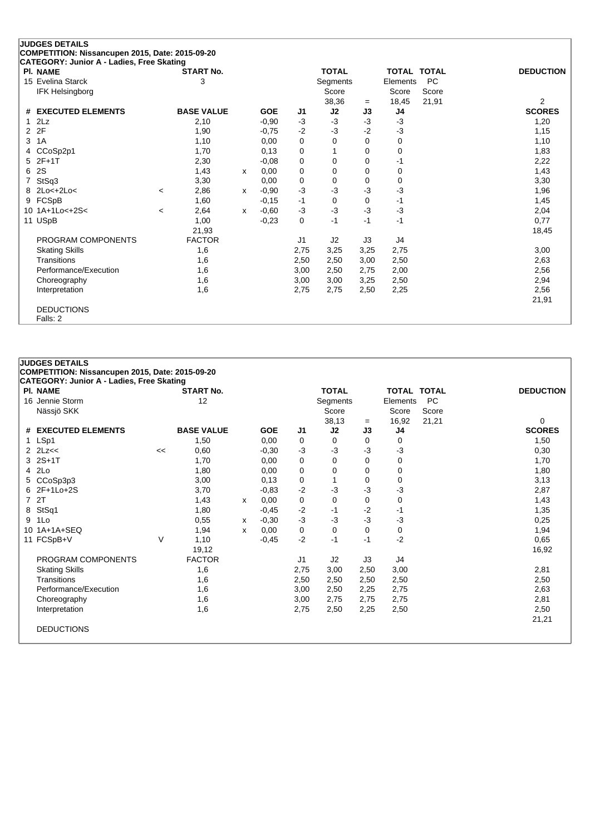|                      | <b>JUDGES DETAILS</b>                                                                        |         |                   |   |            |                |              |          |                    |           |                  |
|----------------------|----------------------------------------------------------------------------------------------|---------|-------------------|---|------------|----------------|--------------|----------|--------------------|-----------|------------------|
|                      | COMPETITION: Nissancupen 2015, Date: 2015-09-20<br>CATEGORY: Junior A - Ladies, Free Skating |         |                   |   |            |                |              |          |                    |           |                  |
|                      | <b>PI. NAME</b>                                                                              |         | <b>START No.</b>  |   |            |                | <b>TOTAL</b> |          | <b>TOTAL TOTAL</b> |           | <b>DEDUCTION</b> |
|                      | 15 Evelina Starck                                                                            |         | 3                 |   |            |                | Segments     |          | Elements           | <b>PC</b> |                  |
|                      | IFK Helsingborg                                                                              |         |                   |   |            |                | Score        |          | Score              | Score     |                  |
|                      |                                                                                              |         |                   |   |            |                | 38,36        | $=$      | 18,45              | 21,91     | $\overline{2}$   |
| #                    | <b>EXECUTED ELEMENTS</b>                                                                     |         | <b>BASE VALUE</b> |   | <b>GOE</b> | J1             | J2           | J3       | J4                 |           | <b>SCORES</b>    |
| 1                    | 2Lz                                                                                          |         | 2,10              |   | $-0,90$    | $-3$           | $-3$         | $-3$     | $-3$               |           | 1,20             |
| $\mathbf{2}^{\circ}$ | 2F                                                                                           |         | 1,90              |   | $-0,75$    | $-2$           | -3           | $-2$     | $-3$               |           | 1,15             |
| 3                    | 1A                                                                                           |         | 1,10              |   | 0,00       | 0              | 0            | $\Omega$ | 0                  |           | 1,10             |
| 4                    | CCoSp2p1                                                                                     |         | 1,70              |   | 0,13       | 0              |              | 0        | 0                  |           | 1,83             |
| 5                    | $2F+1T$                                                                                      |         | 2,30              |   | $-0,08$    | 0              | $\Omega$     | $\Omega$ | $-1$               |           | 2,22             |
| 6                    | 2S                                                                                           |         | 1,43              | X | 0,00       | 0              | 0            | 0        | 0                  |           | 1,43             |
|                      | StSq3                                                                                        |         | 3,30              |   | 0,00       | 0              | 0            | 0        | 0                  |           | 3,30             |
| 8                    | $2Lo<+2Lo<$                                                                                  | $\,<\,$ | 2,86              | X | $-0.90$    | $-3$           | -3           | $-3$     | $-3$               |           | 1,96             |
|                      | 9 FCSpB                                                                                      |         | 1,60              |   | $-0,15$    | -1             | 0            | 0        | -1                 |           | 1,45             |
|                      | 10 1A+1Lo<+2S<                                                                               | $\,<\,$ | 2,64              | x | $-0.60$    | $-3$           | $-3$         | $-3$     | $-3$               |           | 2,04             |
|                      | 11 USpB                                                                                      |         | 1,00              |   | $-0,23$    | 0              | $-1$         | $-1$     | $-1$               |           | 0,77             |
|                      |                                                                                              |         | 21,93             |   |            |                |              |          |                    |           | 18,45            |
|                      | PROGRAM COMPONENTS                                                                           |         | <b>FACTOR</b>     |   |            | J <sub>1</sub> | J2           | J3       | J <sub>4</sub>     |           |                  |
|                      | <b>Skating Skills</b>                                                                        |         | 1,6               |   |            | 2,75           | 3,25         | 3,25     | 2,75               |           | 3,00             |
|                      | Transitions                                                                                  |         | 1,6               |   |            | 2,50           | 2,50         | 3,00     | 2,50               |           | 2,63             |
|                      | Performance/Execution                                                                        |         | 1,6               |   |            | 3,00           | 2,50         | 2,75     | 2,00               |           | 2,56             |
|                      | Choreography                                                                                 |         | 1,6               |   |            | 3,00           | 3,00         | 3,25     | 2,50               |           | 2,94             |
|                      | Interpretation                                                                               |         | 1,6               |   |            | 2,75           | 2,75         | 2,50     | 2,25               |           | 2,56             |
|                      |                                                                                              |         |                   |   |            |                |              |          |                    |           | 21,91            |
|                      | <b>DEDUCTIONS</b>                                                                            |         |                   |   |            |                |              |          |                    |           |                  |
|                      | Falls: 2                                                                                     |         |                   |   |            |                |              |          |                    |           |                  |

|   | <b>PI. NAME</b>       |    | <b>START No.</b>  |   |            |                | <b>TOTAL</b> |      | <b>TOTAL TOTAL</b> |           | <b>DEDUCTION</b> |
|---|-----------------------|----|-------------------|---|------------|----------------|--------------|------|--------------------|-----------|------------------|
|   | 16 Jennie Storm       |    | 12                |   |            |                | Segments     |      | Elements           | <b>PC</b> |                  |
|   | Nässjö SKK            |    |                   |   |            |                | Score        |      | Score              | Score     |                  |
|   |                       |    |                   |   |            |                | 38,13        | $=$  | 16,92              | 21,21     | 0                |
|   | # EXECUTED ELEMENTS   |    | <b>BASE VALUE</b> |   | <b>GOE</b> | J1             | J2           | J3   | J4                 |           | <b>SCORES</b>    |
|   | 1 LSp1                |    | 1,50              |   | 0,00       | 0              | 0            | 0    | 0                  |           | 1,50             |
|   |                       | << | 0,60              |   | $-0,30$    | $-3$           | $-3$         | $-3$ | -3                 |           | 0,30             |
|   | 3 2S+1T               |    | 1,70              |   | 0,00       | 0              | 0            | 0    | 0                  |           | 1,70             |
|   | 4 2Lo                 |    | 1,80              |   | 0,00       | 0              | 0            | 0    | 0                  |           | 1,80             |
|   | 5 CCoSp3p3            |    | 3,00              |   | 0,13       | 0              | 1            | 0    | 0                  |           | 3,13             |
|   | 6 2F+1Lo+2S           |    | 3,70              |   | $-0,83$    | $-2$           | -3           | -3   | $-3$               |           | 2,87             |
|   | 7 2T                  |    | 1,43              | х | 0,00       | 0              | 0            | 0    | 0                  |           | 1,43             |
|   | 8 StSq1               |    | 1,80              |   | $-0,45$    | $-2$           | -1           | $-2$ | $-1$               |           | 1,35             |
| 9 | 1Lo                   |    | 0,55              | х | $-0,30$    | $-3$           | $-3$         | -3   | $-3$               |           | 0,25             |
|   | 10 1A+1A+SEQ          |    | 1,94              | X | 0,00       | 0              | 0            | 0    | 0                  |           | 1,94             |
|   | 11 FCSpB+V            | V  | 1,10              |   | $-0.45$    | $-2$           | $-1$         | $-1$ | $-2$               |           | 0.65             |
|   |                       |    | 19,12             |   |            |                |              |      |                    |           | 16,92            |
|   | PROGRAM COMPONENTS    |    | <b>FACTOR</b>     |   |            | J <sub>1</sub> | J2           | J3   | J4                 |           |                  |
|   | <b>Skating Skills</b> |    | 1,6               |   |            | 2,75           | 3,00         | 2,50 | 3,00               |           | 2,81             |
|   | Transitions           |    | 1,6               |   |            | 2,50           | 2,50         | 2,50 | 2,50               |           | 2,50             |
|   | Performance/Execution |    | 1,6               |   |            | 3,00           | 2,50         | 2,25 | 2,75               |           | 2,63             |
|   | Choreography          |    | 1,6               |   |            | 3,00           | 2,75         | 2,75 | 2,75               |           | 2,81             |
|   | Interpretation        |    | 1,6               |   |            | 2,75           | 2,50         | 2,25 | 2,50               |           | 2,50             |
|   |                       |    |                   |   |            |                |              |      |                    |           | 21,21            |
|   | <b>DEDUCTIONS</b>     |    |                   |   |            |                |              |      |                    |           |                  |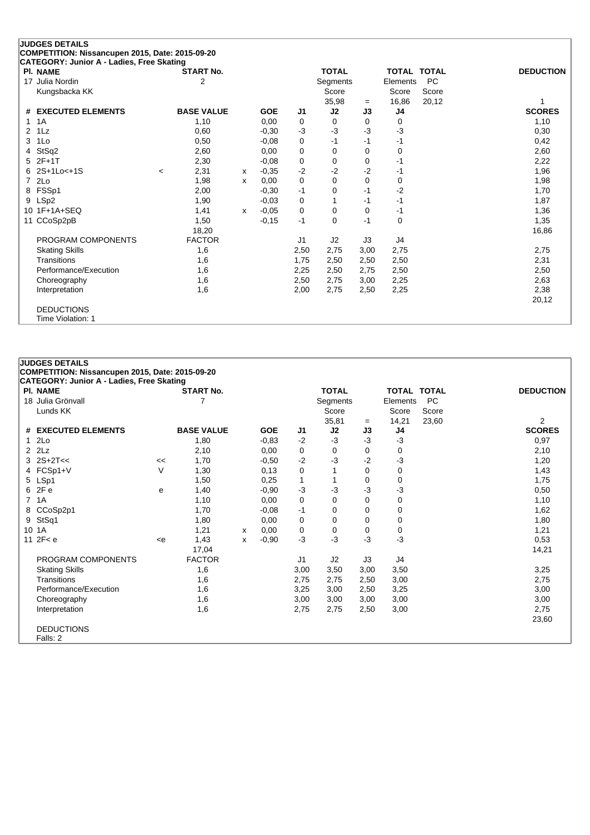| <b>JUDGES DETAILS</b><br>COMPETITION: Nissancupen 2015, Date: 2015-09-20 |         |                                    |   |            |                |                          |             |          |                                 |                  |
|--------------------------------------------------------------------------|---------|------------------------------------|---|------------|----------------|--------------------------|-------------|----------|---------------------------------|------------------|
| CATEGORY: Junior A - Ladies, Free Skating                                |         |                                    |   |            |                |                          |             |          |                                 |                  |
| <b>PI. NAME</b><br>17 Julia Nordin                                       |         | <b>START No.</b><br>$\overline{2}$ |   |            |                | <b>TOTAL</b><br>Segments |             | Elements | <b>TOTAL TOTAL</b><br><b>PC</b> | <b>DEDUCTION</b> |
| Kungsbacka KK                                                            |         |                                    |   |            |                | Score                    |             | Score    | Score                           |                  |
|                                                                          |         |                                    |   |            |                | 35,98                    |             | 16,86    | 20,12                           | 1                |
| <b>EXECUTED ELEMENTS</b><br>#                                            |         | <b>BASE VALUE</b>                  |   | <b>GOE</b> | J <sub>1</sub> | J2                       | $=$<br>J3   | J4       |                                 | <b>SCORES</b>    |
| 1A<br>1                                                                  |         | 1,10                               |   | 0,00       | 0              | $\Omega$                 | 0           | 0        |                                 | 1,10             |
| 1Lz<br>2                                                                 |         | 0,60                               |   | $-0.30$    | $-3$           | $-3$                     | $-3$        | $-3$     |                                 | 0,30             |
| 1Lo<br>3                                                                 |         | 0,50                               |   | $-0,08$    | 0              | -1                       | -1          | $-1$     |                                 | 0,42             |
| StSq2<br>4                                                               |         | 2,60                               |   | 0.00       | 0              | 0                        | 0           | 0        |                                 | 2,60             |
| $2F+1T$<br>5                                                             |         | 2,30                               |   | $-0.08$    | 0              | $\Omega$                 | $\Omega$    | $-1$     |                                 | 2,22             |
| 2S+1Lo<+1S<br>6                                                          | $\,<\,$ | 2,31                               | x | $-0,35$    | $-2$           | $-2$                     | $-2$        | -1       |                                 | 1,96             |
| 2Lo<br>$\overline{7}$                                                    |         | 1,98                               | x | 0,00       | $\Omega$       | $\Omega$                 | $\Omega$    | 0        |                                 | 1,98             |
| FSSp1<br>8                                                               |         | 2,00                               |   | $-0,30$    | $-1$           | 0                        | $-1$        | $-2$     |                                 | 1,70             |
| LSp2<br>9                                                                |         | 1,90                               |   | $-0.03$    | 0              |                          | $-1$        | $-1$     |                                 | 1,87             |
| $1F+1A+SEQ$<br>10                                                        |         | 1,41                               | X | $-0,05$    | $\mathbf 0$    | $\Omega$                 | $\mathbf 0$ | $-1$     |                                 | 1,36             |
| CCoSp2pB<br>11                                                           |         | 1,50                               |   | $-0,15$    | $-1$           | $\Omega$                 | $-1$        | 0        |                                 | 1,35             |
|                                                                          |         | 18,20                              |   |            |                |                          |             |          |                                 | 16,86            |
| PROGRAM COMPONENTS                                                       |         | <b>FACTOR</b>                      |   |            | J <sub>1</sub> | J2                       | J3          | J4       |                                 |                  |
| <b>Skating Skills</b>                                                    |         | 1,6                                |   |            | 2,50           | 2,75                     | 3,00        | 2,75     |                                 | 2,75             |
| Transitions                                                              |         | 1,6                                |   |            | 1,75           | 2,50                     | 2,50        | 2,50     |                                 | 2,31             |
| Performance/Execution                                                    |         | 1,6                                |   |            | 2,25           | 2,50                     | 2,75        | 2,50     |                                 | 2,50             |
| Choreography                                                             |         | 1,6                                |   |            | 2,50           | 2,75                     | 3,00        | 2,25     |                                 | 2,63             |
| Interpretation                                                           |         | 1,6                                |   |            | 2,00           | 2,75                     | 2,50        | 2,25     |                                 | 2,38             |
|                                                                          |         |                                    |   |            |                |                          |             |          |                                 | 20,12            |
| <b>DEDUCTIONS</b>                                                        |         |                                    |   |            |                |                          |             |          |                                 |                  |
| Time Violation: 1                                                        |         |                                    |   |            |                |                          |             |          |                                 |                  |

| CATEGORY: Junior A - Ladies, Free Skating |     |                   |   |            |                |              |      |                    |       |                  |
|-------------------------------------------|-----|-------------------|---|------------|----------------|--------------|------|--------------------|-------|------------------|
| <b>PI. NAME</b>                           |     | <b>START No.</b>  |   |            |                | <b>TOTAL</b> |      | <b>TOTAL TOTAL</b> |       | <b>DEDUCTION</b> |
| 18 Julia Grönvall                         | 7   |                   |   |            |                | Segments     |      | Elements           | PC    |                  |
| Lunds KK                                  |     |                   |   |            |                | Score        |      | Score              | Score |                  |
|                                           |     |                   |   |            |                | 35,81        | $=$  | 14,21              | 23,60 | $\overline{2}$   |
| # EXECUTED ELEMENTS                       |     | <b>BASE VALUE</b> |   | <b>GOE</b> | J1             | J2           | J3   | J4                 |       | <b>SCORES</b>    |
| 12Lo                                      |     | 1,80              |   | $-0,83$    | $-2$           | $-3$         | $-3$ | $-3$               |       | 0,97             |
| $2$ $2Lz$                                 |     | 2,10              |   | 0,00       | 0              | 0            | 0    | 0                  |       | 2,10             |
| $3 \ 2S + 2T <$                           | <<  | 1,70              |   | $-0,50$    | $-2$           | $-3$         | $-2$ | $-3$               |       | 1,20             |
| 4 FCSp1+V                                 | V   | 1,30              |   | 0,13       | 0              |              | 0    | 0                  |       | 1,43             |
| 5 LSp1                                    |     | 1,50              |   | 0,25       | 1              |              | 0    | 0                  |       | 1,75             |
| 6 2Fe                                     | e   | 1,40              |   | $-0,90$    | $-3$           | -3           | -3   | $-3$               |       | 0,50             |
| 7 1A                                      |     | 1,10              |   | 0,00       | 0              | 0            | 0    | 0                  |       | 1,10             |
| 8 CCoSp2p1                                |     | 1,70              |   | $-0,08$    | -1             | 0            | 0    | 0                  |       | 1,62             |
| 9 StSq1                                   |     | 1,80              |   | 0,00       | 0              | 0            | 0    | 0                  |       | 1,80             |
| 10 1A                                     |     | 1,21              | x | 0,00       | 0              | 0            | 0    | 0                  |       | 1,21             |
| 11 $2F < e$                               | < e | 1,43              | X | $-0,90$    | $-3$           | $-3$         | $-3$ | $-3$               |       | 0,53             |
|                                           |     | 17,04             |   |            |                |              |      |                    |       | 14,21            |
| PROGRAM COMPONENTS                        |     | <b>FACTOR</b>     |   |            | J <sub>1</sub> | J2           | J3   | J4                 |       |                  |
| <b>Skating Skills</b>                     |     | 1,6               |   |            | 3,00           | 3,50         | 3,00 | 3,50               |       | 3,25             |
| Transitions                               |     | 1,6               |   |            | 2,75           | 2,75         | 2,50 | 3,00               |       | 2,75             |
| Performance/Execution                     |     | 1,6               |   |            | 3,25           | 3,00         | 2,50 | 3,25               |       | 3,00             |
| Choreography                              |     | 1,6               |   |            | 3,00           | 3,00         | 3,00 | 3,00               |       | 3,00             |
| Interpretation                            |     | 1,6               |   |            | 2,75           | 2,75         | 2,50 | 3,00               |       | 2,75             |
|                                           |     |                   |   |            |                |              |      |                    |       | 23,60            |
| <b>DEDUCTIONS</b>                         |     |                   |   |            |                |              |      |                    |       |                  |
| Falls: 2                                  |     |                   |   |            |                |              |      |                    |       |                  |